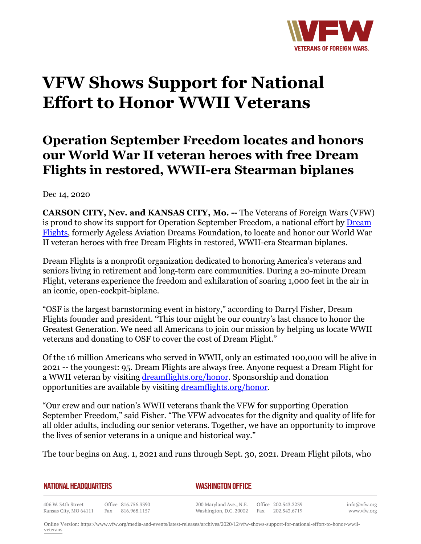

## **VFW Shows Support for National Effort to Honor WWII Veterans**

## **Operation September Freedom locates and honors our World War II veteran heroes with free Dream Flights in restored, WWII-era Stearman biplanes**

Dec 14, 2020

**CARSON CITY, Nev. and KANSAS CITY, Mo. --** The Veterans of Foreign Wars (VFW) is proud to show its support for Operation September Freedom, a national effort by [Dream](https:http://dreamflights.org/) [Flights,](https:http://dreamflights.org/) formerly Ageless Aviation Dreams Foundation, to locate and honor our World War II veteran heroes with free Dream Flights in restored, WWII-era Stearman biplanes.

Dream Flights is a nonprofit organization dedicated to honoring America's veterans and seniors living in retirement and long-term care communities. During a 20-minute Dream Flight, veterans experience the freedom and exhilaration of soaring 1,000 feet in the air in an iconic, open-cockpit-biplane.

"OSF is the largest barnstorming event in history," according to Darryl Fisher, Dream Flights founder and president. "This tour might be our country's last chance to honor the Greatest Generation. We need all Americans to join our mission by helping us locate WWII veterans and donating to OSF to cover the cost of Dream Flight."

Of the 16 million Americans who served in WWII, only an estimated 100,000 will be alive in 2021 -- the youngest: 95. Dream Flights are always free. Anyone request a Dream Flight for a WWII veteran by visiting [dreamflights.org/honor](http:http://www.dreamflights.org/honor). Sponsorship and donation opportunities are available by visiting [dreamflights.org/honor](http:http://www.dreamflights.org/honor).

"Our crew and our nation's WWII veterans thank the VFW for supporting Operation September Freedom," said Fisher. "The VFW advocates for the dignity and quality of life for all older adults, including our senior veterans. Together, we have an opportunity to improve the lives of senior veterans in a unique and historical way."

The tour begins on Aug. 1, 2021 and runs through Sept. 30, 2021. Dream Flight pilots, who

| <b>NATIONAL HEADQUARTERS</b> |  |
|------------------------------|--|
|------------------------------|--|

*WASHINGTON OFFICE* 

406 W. 34th Street Office 816.756.3390 Fax 816.968.1157 Kansas City, MO 64111

200 Maryland Ave., N.E. Washington, D.C. 20002

Office 202.543.2239 Fax 202.543.6719 info@vfw.org www.vfw.org

Online Version: [https://www.vfw.org/media-and-events/latest-releases/archives/2020/12/vfw-shows-support-for-national-effort-to-honor-wwii](https://www.vfw.org/media-and-events/latest-releases/archives/2020/12/vfw-shows-support-for-national-effort-to-honor-wwii-veterans)[veterans](https://www.vfw.org/media-and-events/latest-releases/archives/2020/12/vfw-shows-support-for-national-effort-to-honor-wwii-veterans)